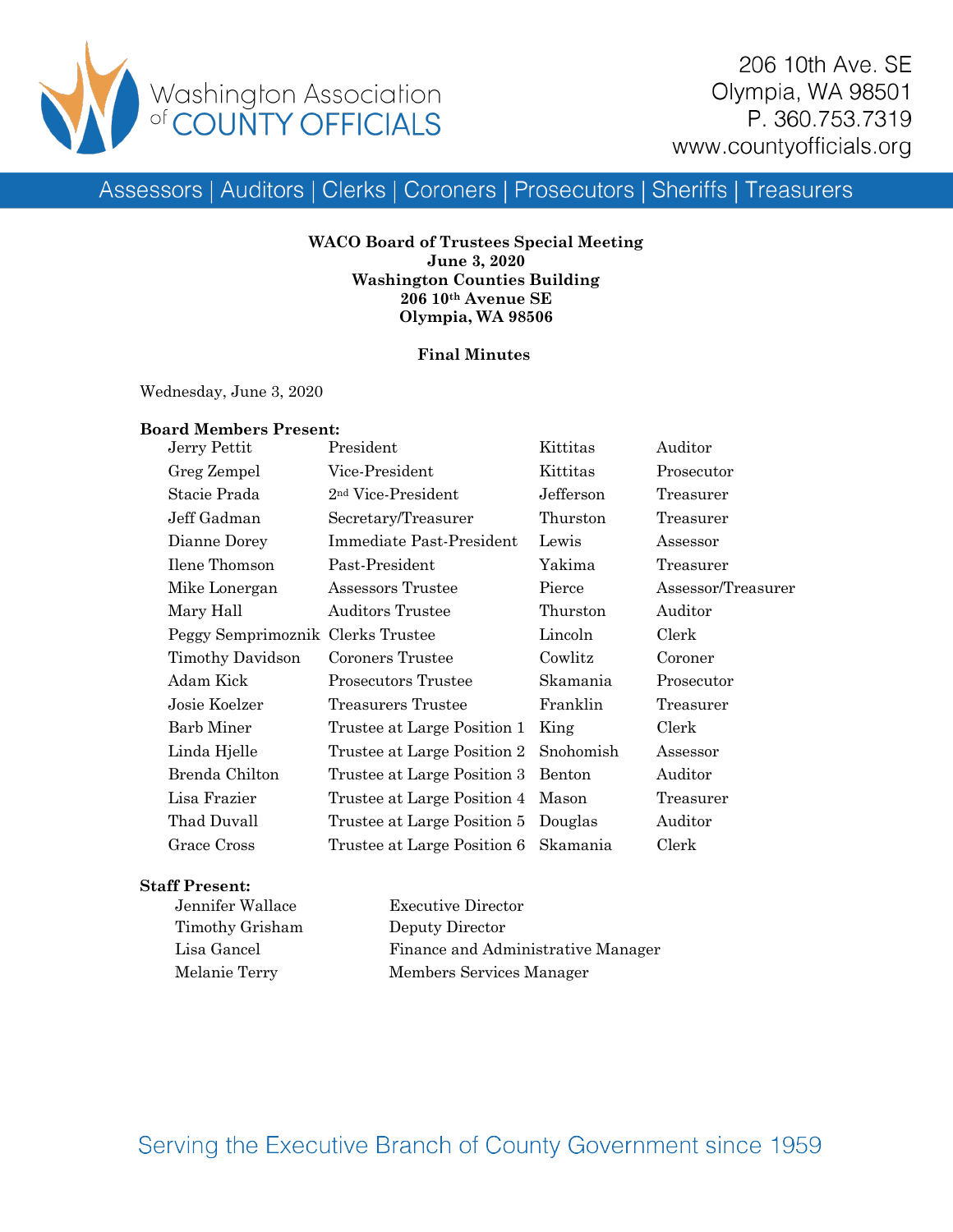

Assessors | Auditors | Clerks | Coroners | Prosecutors | Sheriffs | Treasurers

**WACO Board of Trustees Special Meeting June 3, 2020 Washington Counties Building 206 10th Avenue SE Olympia, WA 98506**

## **Final Minutes**

Wednesday, June 3, 2020

# **Board Members Present:**

| Jerry Pettit                      | President                            | Kittitas  | Auditor            |
|-----------------------------------|--------------------------------------|-----------|--------------------|
| Greg Zempel                       | Vice-President                       | Kittitas  | Prosecutor         |
| Stacie Prada                      | 2 <sup>nd</sup> Vice-President       | Jefferson | Treasurer          |
| Jeff Gadman                       | Secretary/Treasurer                  | Thurston  | Treasurer          |
| Dianne Dorey                      | Immediate Past-President             | Lewis     | Assessor           |
| Ilene Thomson                     | Past-President                       | Yakima    | Treasurer          |
| Mike Lonergan                     | Assessors Trustee                    | Pierce    | Assessor/Treasurer |
| Mary Hall                         | <b>Auditors Trustee</b>              | Thurston  | Auditor            |
| Peggy Semprimoznik Clerks Trustee |                                      | Lincoln   | Clerk              |
| Timothy Davidson                  | Coroners Trustee                     | Cowlitz   | Coroner            |
| Adam Kick                         | Prosecutors Trustee                  | Skamania  | Prosecutor         |
| Josie Koelzer                     | Treasurers Trustee                   | Franklin  | Treasurer          |
| <b>Barb Miner</b>                 | Trustee at Large Position 1          | King      | Clerk              |
| Linda Hjelle                      | Trustee at Large Position 2          | Snohomish | Assessor           |
| Brenda Chilton                    | Trustee at Large Position 3          | Benton    | Auditor            |
| Lisa Frazier                      | Trustee at Large Position 4 Mason    |           | Treasurer          |
| Thad Duvall                       | Trustee at Large Position 5 Douglas  |           | Auditor            |
| Grace Cross                       | Trustee at Large Position 6 Skamania |           | Clerk              |

## **Staff Present:**

| Jennifer Wallace | <b>Executive Director</b>          |
|------------------|------------------------------------|
| Timothy Grisham  | Deputy Director                    |
| Lisa Gancel      | Finance and Administrative Manager |
| Melanie Terry    | Members Services Manager           |

Serving the Executive Branch of County Government since 1959